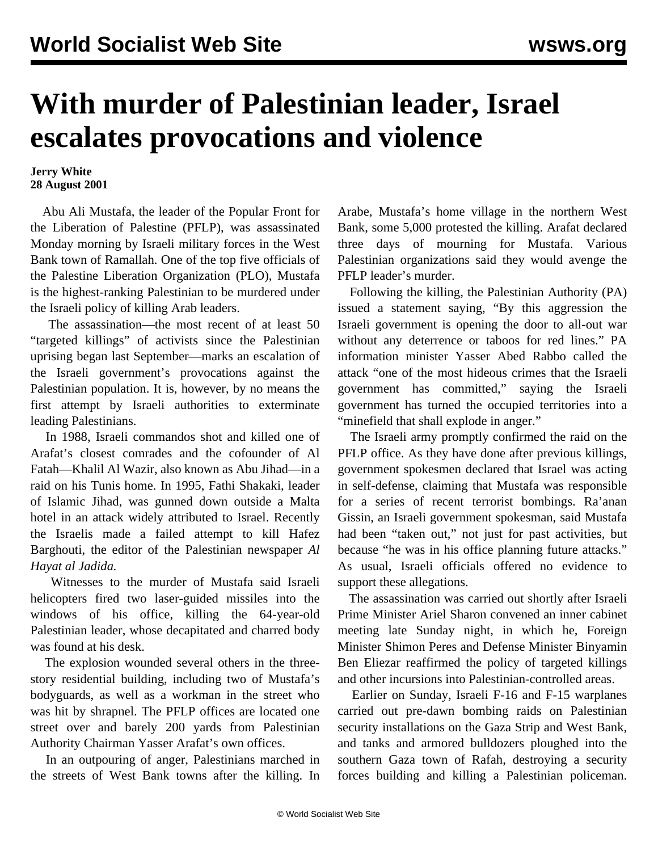## **With murder of Palestinian leader, Israel escalates provocations and violence**

## **Jerry White 28 August 2001**

 Abu Ali Mustafa, the leader of the Popular Front for the Liberation of Palestine (PFLP), was assassinated Monday morning by Israeli military forces in the West Bank town of Ramallah. One of the top five officials of the Palestine Liberation Organization (PLO), Mustafa is the highest-ranking Palestinian to be murdered under the Israeli policy of killing Arab leaders.

 The assassination—the most recent of at least 50 "targeted killings" of activists since the Palestinian uprising began last September—marks an escalation of the Israeli government's provocations against the Palestinian population. It is, however, by no means the first attempt by Israeli authorities to exterminate leading Palestinians.

 In 1988, Israeli commandos shot and killed one of Arafat's closest comrades and the cofounder of Al Fatah—Khalil Al Wazir, also known as Abu Jihad—in a raid on his Tunis home. In 1995, Fathi Shakaki, leader of Islamic Jihad, was gunned down outside a Malta hotel in an attack widely attributed to Israel. Recently the Israelis made a failed attempt to kill Hafez Barghouti, the editor of the Palestinian newspaper *Al Hayat al Jadida.*

 Witnesses to the murder of Mustafa said Israeli helicopters fired two laser-guided missiles into the windows of his office, killing the 64-year-old Palestinian leader, whose decapitated and charred body was found at his desk.

 The explosion wounded several others in the threestory residential building, including two of Mustafa's bodyguards, as well as a workman in the street who was hit by shrapnel. The PFLP offices are located one street over and barely 200 yards from Palestinian Authority Chairman Yasser Arafat's own offices.

 In an outpouring of anger, Palestinians marched in the streets of West Bank towns after the killing. In Arabe, Mustafa's home village in the northern West Bank, some 5,000 protested the killing. Arafat declared three days of mourning for Mustafa. Various Palestinian organizations said they would avenge the PFLP leader's murder.

 Following the killing, the Palestinian Authority (PA) issued a statement saying, "By this aggression the Israeli government is opening the door to all-out war without any deterrence or taboos for red lines." PA information minister Yasser Abed Rabbo called the attack "one of the most hideous crimes that the Israeli government has committed," saying the Israeli government has turned the occupied territories into a "minefield that shall explode in anger."

 The Israeli army promptly confirmed the raid on the PFLP office. As they have done after previous killings, government spokesmen declared that Israel was acting in self-defense, claiming that Mustafa was responsible for a series of recent terrorist bombings. Ra'anan Gissin, an Israeli government spokesman, said Mustafa had been "taken out," not just for past activities, but because "he was in his office planning future attacks." As usual, Israeli officials offered no evidence to support these allegations.

 The assassination was carried out shortly after Israeli Prime Minister Ariel Sharon convened an inner cabinet meeting late Sunday night, in which he, Foreign Minister Shimon Peres and Defense Minister Binyamin Ben Eliezar reaffirmed the policy of targeted killings and other incursions into Palestinian-controlled areas.

 Earlier on Sunday, Israeli F-16 and F-15 warplanes carried out pre-dawn bombing raids on Palestinian security installations on the Gaza Strip and West Bank, and tanks and armored bulldozers ploughed into the southern Gaza town of Rafah, destroying a security forces building and killing a Palestinian policeman.